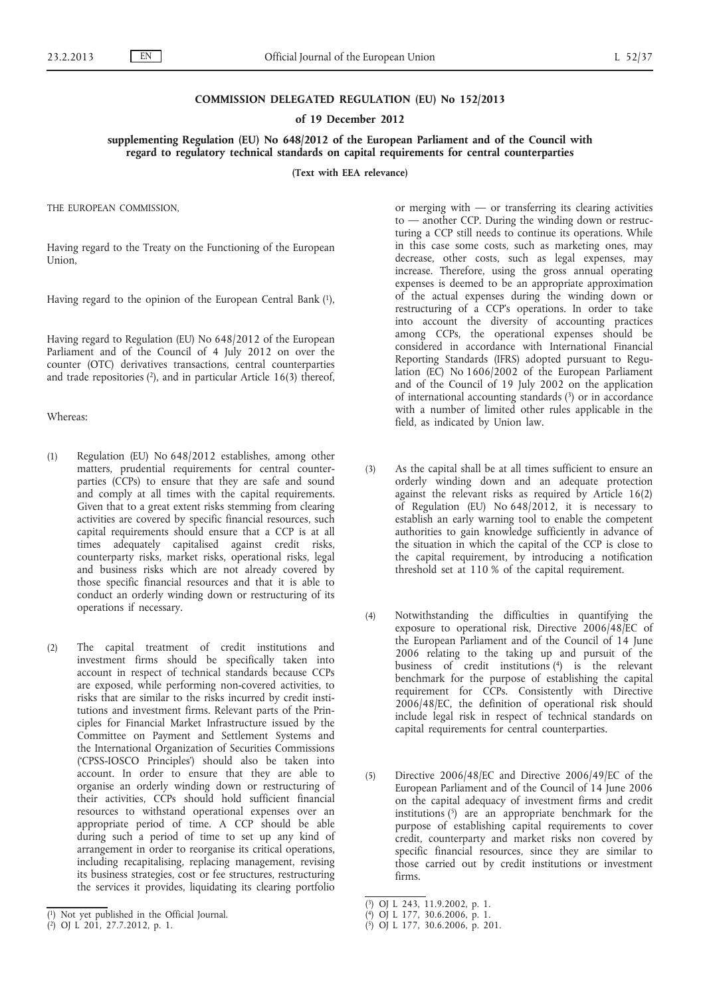### **COMMISSION DELEGATED REGULATION (EU) No 152/2013**

#### **of 19 December 2012**

# **supplementing Regulation (EU) No 648/2012 of the European Parliament and of the Council with regard to regulatory technical standards on capital requirements for central counterparties**

**(Text with EEA relevance)**

THE EUROPEAN COMMISSION,

Having regard to the Treaty on the Functioning of the European Union,

Having regard to the opinion of the European Central Bank (1),

Having regard to Regulation (EU) No 648/2012 of the European Parliament and of the Council of 4 July 2012 on over the counter (OTC) derivatives transactions, central counterparties and trade repositories  $(2)$ , and in particular Article 16(3) thereof,

Whereas:

- (1) Regulation (EU) No 648/2012 establishes, among other matters, prudential requirements for central counterparties (CCPs) to ensure that they are safe and sound and comply at all times with the capital requirements. Given that to a great extent risks stemming from clearing activities are covered by specific financial resources, such capital requirements should ensure that a CCP is at all times adequately capitalised against credit risks, counterparty risks, market risks, operational risks, legal and business risks which are not already covered by those specific financial resources and that it is able to conduct an orderly winding down or restructuring of its operations if necessary.
- (2) The capital treatment of credit institutions and investment firms should be specifically taken into account in respect of technical standards because CCPs are exposed, while performing non-covered activities, to risks that are similar to the risks incurred by credit institutions and investment firms. Relevant parts of the Principles for Financial Market Infrastructure issued by the Committee on Payment and Settlement Systems and the International Organization of Securities Commissions ('CPSS-IOSCO Principles') should also be taken into account. In order to ensure that they are able to organise an orderly winding down or restructuring of their activities, CCPs should hold sufficient financial resources to withstand operational expenses over an appropriate period of time. A CCP should be able during such a period of time to set up any kind of arrangement in order to reorganise its critical operations, including recapitalising, replacing management, revising its business strategies, cost or fee structures, restructuring the services it provides, liquidating its clearing portfolio

or merging with  $-$  or transferring its clearing activities to — another CCP. During the winding down or restructuring a CCP still needs to continue its operations. While in this case some costs, such as marketing ones, may decrease, other costs, such as legal expenses, may increase. Therefore, using the gross annual operating expenses is deemed to be an appropriate approximation of the actual expenses during the winding down or restructuring of a CCP's operations. In order to take into account the diversity of accounting practices among CCPs, the operational expenses should be considered in accordance with International Financial Reporting Standards (IFRS) adopted pursuant to Regulation (EC) No 1606/2002 of the European Parliament and of the Council of 19 July 2002 on the application of international accounting standards  $(3)$  or in accordance with a number of limited other rules applicable in the field, as indicated by Union law.

- (3) As the capital shall be at all times sufficient to ensure an orderly winding down and an adequate protection against the relevant risks as required by Article 16(2) of Regulation (EU) No 648/2012, it is necessary to establish an early warning tool to enable the competent authorities to gain knowledge sufficiently in advance of the situation in which the capital of the CCP is close to the capital requirement, by introducing a notification threshold set at 110 % of the capital requirement.
- (4) Notwithstanding the difficulties in quantifying the exposure to operational risk, Directive 2006/48/EC of the European Parliament and of the Council of 14 June 2006 relating to the taking up and pursuit of the business of credit institutions (4) is the relevant benchmark for the purpose of establishing the capital requirement for CCPs. Consistently with Directive 2006/48/EC, the definition of operational risk should include legal risk in respect of technical standards on capital requirements for central counterparties.
- (5) Directive 2006/48/EC and Directive 2006/49/EC of the European Parliament and of the Council of 14 June 2006 on the capital adequacy of investment firms and credit institutions  $(5)$  are an appropriate benchmark for the purpose of establishing capital requirements to cover credit, counterparty and market risks non covered by specific financial resources, since they are similar to those carried out by credit institutions or investment firms.

<sup>(</sup> 1) Not yet published in the Official Journal.

<sup>(</sup> 2) OJ L 201, 27.7.2012, p. 1.

<sup>(</sup> 3) OJ L 243, 11.9.2002, p. 1.

<sup>(</sup> 4) OJ L 177, 30.6.2006, p. 1.

<sup>(</sup> 5) OJ L 177, 30.6.2006, p. 201.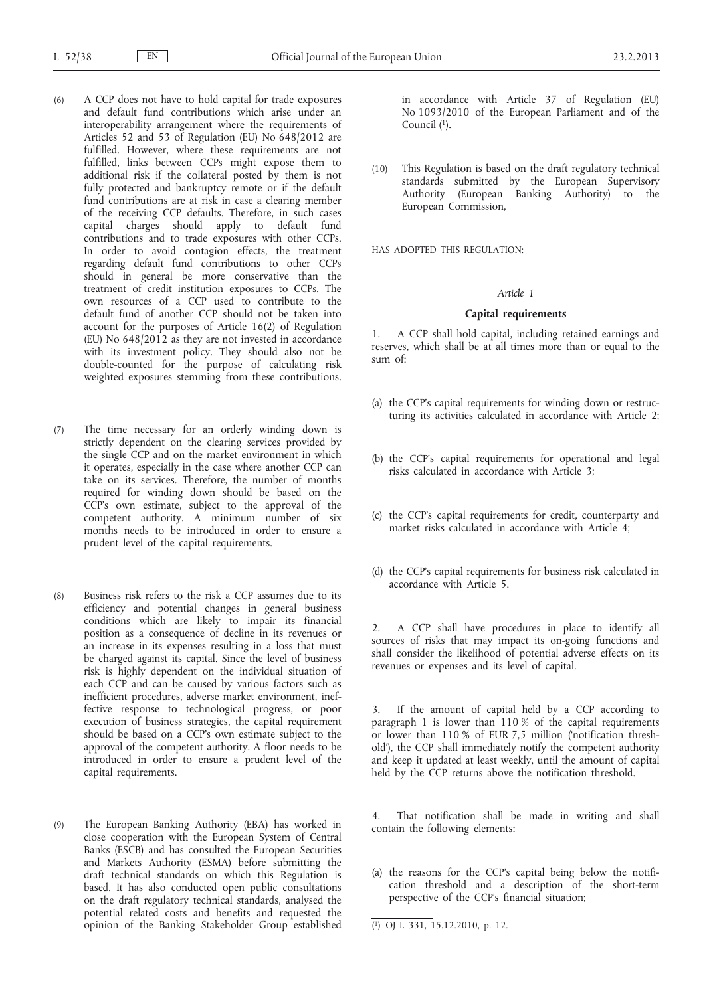- (6) A CCP does not have to hold capital for trade exposures and default fund contributions which arise under an interoperability arrangement where the requirements of Articles 52 and 53 of Regulation (EU) No 648/2012 are fulfilled. However, where these requirements are not fulfilled, links between CCPs might expose them to additional risk if the collateral posted by them is not fully protected and bankruptcy remote or if the default fund contributions are at risk in case a clearing member of the receiving CCP defaults. Therefore, in such cases capital charges should apply to default fund contributions and to trade exposures with other CCPs. In order to avoid contagion effects, the treatment regarding default fund contributions to other CCPs should in general be more conservative than the treatment of credit institution exposures to CCPs. The own resources of a CCP used to contribute to the default fund of another CCP should not be taken into account for the purposes of Article 16(2) of Regulation (EU) No 648/2012 as they are not invested in accordance with its investment policy. They should also not be double-counted for the purpose of calculating risk weighted exposures stemming from these contributions.
- (7) The time necessary for an orderly winding down is strictly dependent on the clearing services provided by the single CCP and on the market environment in which it operates, especially in the case where another CCP can take on its services. Therefore, the number of months required for winding down should be based on the CCP's own estimate, subject to the approval of the competent authority. A minimum number of six months needs to be introduced in order to ensure a prudent level of the capital requirements.
- (8) Business risk refers to the risk a CCP assumes due to its efficiency and potential changes in general business conditions which are likely to impair its financial position as a consequence of decline in its revenues or an increase in its expenses resulting in a loss that must be charged against its capital. Since the level of business risk is highly dependent on the individual situation of each CCP and can be caused by various factors such as inefficient procedures, adverse market environment, ineffective response to technological progress, or poor execution of business strategies, the capital requirement should be based on a CCP's own estimate subject to the approval of the competent authority. A floor needs to be introduced in order to ensure a prudent level of the capital requirements.
- (9) The European Banking Authority (EBA) has worked in close cooperation with the European System of Central Banks (ESCB) and has consulted the European Securities and Markets Authority (ESMA) before submitting the draft technical standards on which this Regulation is based. It has also conducted open public consultations on the draft regulatory technical standards, analysed the potential related costs and benefits and requested the opinion of the Banking Stakeholder Group established

in accordance with Article 37 of Regulation (EU) No 1093/2010 of the European Parliament and of the Council  $(1)$ .

(10) This Regulation is based on the draft regulatory technical standards submitted by the European Supervisory Authority (European Banking Authority) to the European Commission,

HAS ADOPTED THIS REGULATION:

# *Article 1*

## **Capital requirements**

1. A CCP shall hold capital, including retained earnings and reserves, which shall be at all times more than or equal to the sum of:

- (a) the CCP's capital requirements for winding down or restructuring its activities calculated in accordance with Article 2;
- (b) the CCP's capital requirements for operational and legal risks calculated in accordance with Article 3;
- (c) the CCP's capital requirements for credit, counterparty and market risks calculated in accordance with Article 4;
- (d) the CCP's capital requirements for business risk calculated in accordance with Article 5.

2. A CCP shall have procedures in place to identify all sources of risks that may impact its on-going functions and shall consider the likelihood of potential adverse effects on its revenues or expenses and its level of capital.

If the amount of capital held by a CCP according to paragraph 1 is lower than 110 % of the capital requirements or lower than 110 % of EUR 7,5 million ('notification threshold'), the CCP shall immediately notify the competent authority and keep it updated at least weekly, until the amount of capital held by the CCP returns above the notification threshold.

That notification shall be made in writing and shall contain the following elements:

(a) the reasons for the CCP's capital being below the notification threshold and a description of the short-term perspective of the CCP's financial situation;

<sup>(</sup> 1) OJ L 331, 15.12.2010, p. 12.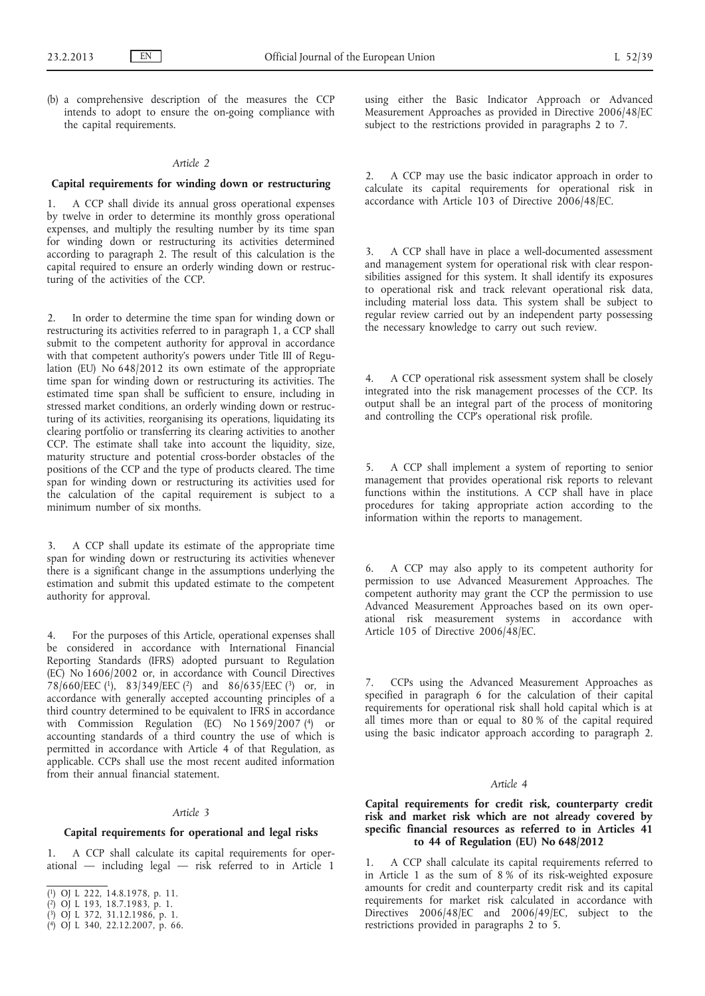(b) a comprehensive description of the measures the CCP intends to adopt to ensure the on-going compliance with the capital requirements.

# *Article 2*

### **Capital requirements for winding down or restructuring**

1. A CCP shall divide its annual gross operational expenses by twelve in order to determine its monthly gross operational expenses, and multiply the resulting number by its time span for winding down or restructuring its activities determined according to paragraph 2. The result of this calculation is the capital required to ensure an orderly winding down or restructuring of the activities of the CCP.

2. In order to determine the time span for winding down or restructuring its activities referred to in paragraph 1, a CCP shall submit to the competent authority for approval in accordance with that competent authority's powers under Title III of Regulation (EU) No 648/2012 its own estimate of the appropriate time span for winding down or restructuring its activities. The estimated time span shall be sufficient to ensure, including in stressed market conditions, an orderly winding down or restructuring of its activities, reorganising its operations, liquidating its clearing portfolio or transferring its clearing activities to another CCP. The estimate shall take into account the liquidity, size, maturity structure and potential cross-border obstacles of the positions of the CCP and the type of products cleared. The time span for winding down or restructuring its activities used for the calculation of the capital requirement is subject to a minimum number of six months.

3. A CCP shall update its estimate of the appropriate time span for winding down or restructuring its activities whenever there is a significant change in the assumptions underlying the estimation and submit this updated estimate to the competent authority for approval.

4. For the purposes of this Article, operational expenses shall be considered in accordance with International Financial Reporting Standards (IFRS) adopted pursuant to Regulation (EC) No 1606/2002 or, in accordance with Council Directives 78/660/EEC (1), 83/349/EEC (2) and 86/635/EEC (3) or, in accordance with generally accepted accounting principles of a third country determined to be equivalent to IFRS in accordance with Commission Regulation (EC) No 1569/2007 (4) or accounting standards of a third country the use of which is permitted in accordance with Article 4 of that Regulation, as applicable. CCPs shall use the most recent audited information from their annual financial statement.

#### *Article 3*

# **Capital requirements for operational and legal risks**

1. A CCP shall calculate its capital requirements for operational — including legal — risk referred to in Article 1

- ( 3) OJ L 372, 31.12.1986, p. 1.
- ( 4) OJ L 340, 22.12.2007, p. 66.

using either the Basic Indicator Approach or Advanced Measurement Approaches as provided in Directive 2006/48/EC subject to the restrictions provided in paragraphs 2 to 7.

2. A CCP may use the basic indicator approach in order to calculate its capital requirements for operational risk in accordance with Article 103 of Directive 2006/48/EC.

3. A CCP shall have in place a well-documented assessment and management system for operational risk with clear responsibilities assigned for this system. It shall identify its exposures to operational risk and track relevant operational risk data, including material loss data. This system shall be subject to regular review carried out by an independent party possessing the necessary knowledge to carry out such review.

4. A CCP operational risk assessment system shall be closely integrated into the risk management processes of the CCP. Its output shall be an integral part of the process of monitoring and controlling the CCP's operational risk profile.

5. A CCP shall implement a system of reporting to senior management that provides operational risk reports to relevant functions within the institutions. A CCP shall have in place procedures for taking appropriate action according to the information within the reports to management.

6. A CCP may also apply to its competent authority for permission to use Advanced Measurement Approaches. The competent authority may grant the CCP the permission to use Advanced Measurement Approaches based on its own operational risk measurement systems in accordance with Article 105 of Directive 2006/48/EC.

7. CCPs using the Advanced Measurement Approaches as specified in paragraph 6 for the calculation of their capital requirements for operational risk shall hold capital which is at all times more than or equal to 80 % of the capital required using the basic indicator approach according to paragraph 2.

### *Article 4*

# **Capital requirements for credit risk, counterparty credit risk and market risk which are not already covered by specific financial resources as referred to in Articles 41 to 44 of Regulation (EU) No 648/2012**

1. A CCP shall calculate its capital requirements referred to in Article 1 as the sum of 8 % of its risk-weighted exposure amounts for credit and counterparty credit risk and its capital requirements for market risk calculated in accordance with Directives 2006/48/EC and 2006/49/EC, subject to the restrictions provided in paragraphs 2 to 5.

<sup>(</sup> 1) OJ L 222, 14.8.1978, p. 11.

<sup>(</sup> 2) OJ L 193, 18.7.1983, p. 1.